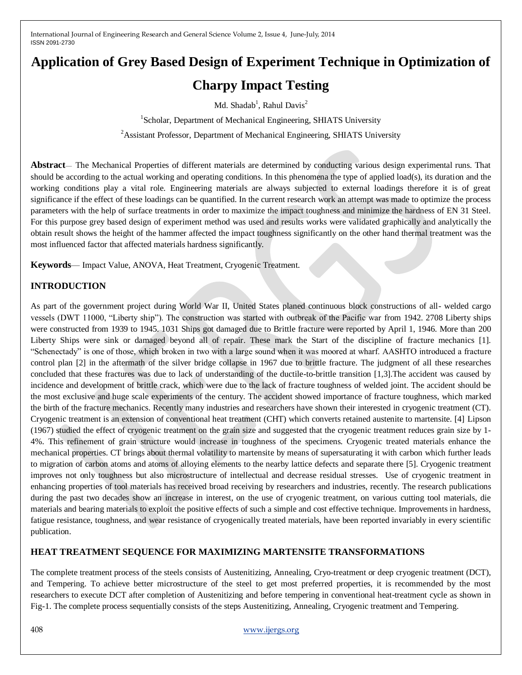# **Application of Grey Based Design of Experiment Technique in Optimization of Charpy Impact Testing**

Md. Shadab<sup>1</sup>, Rahul Davis<sup>2</sup>

<sup>1</sup>Scholar, Department of Mechanical Engineering, SHIATS University <sup>2</sup>Assistant Professor, Department of Mechanical Engineering, SHIATS University

**Abstract**— The Mechanical Properties of different materials are determined by conducting various design experimental runs. That should be according to the actual working and operating conditions. In this phenomena the type of applied load(s), its duration and the working conditions play a vital role. Engineering materials are always subjected to external loadings therefore it is of great significance if the effect of these loadings can be quantified. In the current research work an attempt was made to optimize the process parameters with the help of surface treatments in order to maximize the impact toughness and minimize the hardness of EN 31 Steel. For this purpose grey based design of experiment method was used and results works were validated graphically and analytically the obtain result shows the height of the hammer affected the impact toughness significantly on the other hand thermal treatment was the most influenced factor that affected materials hardness significantly.

**Keywords**— Impact Value, ANOVA, Heat Treatment, Cryogenic Treatment.

# **INTRODUCTION**

As part of the government project during World War II, United States planed continuous block constructions of all- welded cargo vessels (DWT 11000, "Liberty ship"). The construction was started with outbreak of the Pacific war from 1942. 2708 Liberty ships were constructed from 1939 to 1945. 1031 Ships got damaged due to Brittle fracture were reported by April 1, 1946. More than 200 Liberty Ships were sink or damaged beyond all of repair. These mark the Start of the discipline of fracture mechanics [1]. ―Schenectady‖ is one of those, which broken in two with a large sound when it was moored at wharf. AASHTO introduced a fracture control plan [2] in the aftermath of the silver bridge collapse in 1967 due to brittle fracture. The judgment of all these researches concluded that these fractures was due to lack of understanding of the ductile-to-brittle transition [1,3].The accident was caused by incidence and development of brittle crack, which were due to the lack of fracture toughness of welded joint. The accident should be the most exclusive and huge scale experiments of the century. The accident showed importance of fracture toughness, which marked the birth of the fracture mechanics. Recently many industries and researchers have shown their interested in cryogenic treatment (CT). Cryogenic treatment is an extension of conventional heat treatment (CHT) which converts retained austenite to martensite. [4] Lipson (1967) studied the effect of cryogenic treatment on the grain size and suggested that the cryogenic treatment reduces grain size by 1- 4%. This refinement of grain structure would increase in toughness of the specimens. Cryogenic treated materials enhance the mechanical properties. CT brings about thermal volatility to martensite by means of supersaturating it with carbon which further leads to migration of carbon atoms and atoms of alloying elements to the nearby lattice defects and separate there [5]. Cryogenic treatment improves not only toughness but also microstructure of intellectual and decrease residual stresses. Use of cryogenic treatment in enhancing properties of tool materials has received broad receiving by researchers and industries, recently. The research publications during the past two decades show an increase in interest, on the use of cryogenic treatment, on various cutting tool materials, die materials and bearing materials to exploit the positive effects of such a simple and cost effective technique. Improvements in hardness, fatigue resistance, toughness, and wear resistance of cryogenically treated materials, have been reported invariably in every scientific publication.

#### **HEAT TREATMENT SEQUENCE FOR MAXIMIZING MARTENSITE TRANSFORMATIONS**

The complete treatment process of the steels consists of Austenitizing, Annealing, Cryo-treatment or deep cryogenic treatment (DCT), and Tempering. To achieve better microstructure of the steel to get most preferred properties, it is recommended by the most researchers to execute DCT after completion of Austenitizing and before tempering in conventional heat-treatment cycle as shown in Fig-1. The complete process sequentially consists of the steps Austenitizing, Annealing, Cryogenic treatment and Tempering.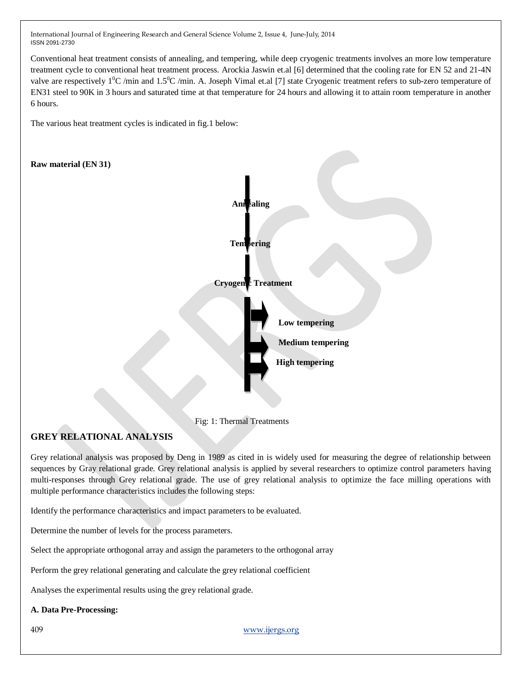Conventional heat treatment consists of annealing, and tempering, while deep cryogenic treatments involves an more low temperature treatment cycle to conventional heat treatment process. Arockia Jaswin et.al [6] determined that the cooling rate for EN 52 and 21-4N valve are respectively  $1^{\circ}C$  /min and  $1.5^{\circ}C$  /min. A. Joseph Vimal et.al [7] state Cryogenic treatment refers to sub-zero temperature of EN31 steel to 90K in 3 hours and saturated time at that temperature for 24 hours and allowing it to attain room temperature in another 6 hours.

The various heat treatment cycles is indicated in fig.1 below:



Fig: 1: Thermal Treatments

# **GREY RELATIONAL ANALYSIS**

Grey relational analysis was proposed by Deng in 1989 as cited in is widely used for measuring the degree of relationship between sequences by Gray relational grade. Grey relational analysis is applied by several researchers to optimize control parameters having multi-responses through Grey relational grade. The use of grey relational analysis to optimize the face milling operations with multiple performance characteristics includes the following steps:

Identify the performance characteristics and impact parameters to be evaluated.

Determine the number of levels for the process parameters.

Select the appropriate orthogonal array and assign the parameters to the orthogonal array

Perform the grey relational generating and calculate the grey relational coefficient

Analyses the experimental results using the grey relational grade.

#### **A. Data Pre-Processing:**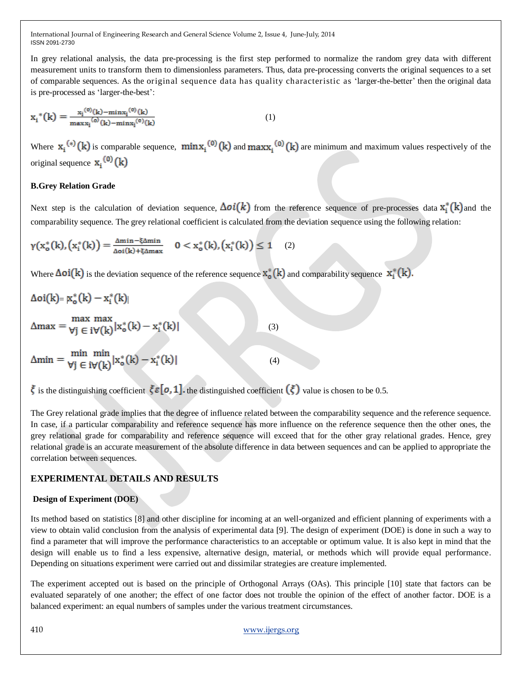In grey relational analysis, the data pre-processing is the first step performed to normalize the random grey data with different measurement units to transform them to dimensionless parameters. Thus, data pre-processing converts the original sequences to a set of comparable sequences. As the original sequence data has quality characteristic as ‗larger-the-better' then the original data is pre-processed as 'larger-the-best':

$$
x_{i}^{*}(k) = \frac{x_{i}^{(0)}(k) - \min x_{i}^{(0)}(k)}{\max x_{i}^{(0)}(k) - \min x_{i}^{(0)}(k)} \tag{1}
$$

Where  $\mathbf{x}_i^{(*)}(\mathbf{k})$  is comparable sequence,  $\min \mathbf{x}_i^{(0)}(\mathbf{k})$  and  $\max_i^{(0)}(\mathbf{k})$  are minimum and maximum values respectively of the original sequence  $x_i^{(0)}(k)$ 

#### **B.Grey Relation Grade**

Next step is the calculation of deviation sequence,  $\Delta o\mathbf{i}(k)$  from the reference sequence of pre-processes data  $\mathbf{x}_i^*(k)$  and the comparability sequence. The grey relational coefficient is calculated from the deviation sequence using the following relation:

$$
\gamma(x_o^*(k), \left(x_i^*(k)\right) = \tfrac{\Delta \text{min} - \xi \Delta \text{min}}{\Delta \text{o} i(k) + \xi \Delta \text{max}} \quad 0 < x_o^*(k), \left(x_i^*(k)\right) \leq 1 \quad (2)
$$

Where  $\Delta \text{o}i(\mathbf{k})$  is the deviation sequence of the reference sequence  $x_0^*(\mathbf{k})$  and comparability sequence  $x_i^*(\mathbf{k})$ .

$$
\Delta \text{oi}(k) = \mathbf{x}_o^*(k) - \mathbf{x}_i^*(k)
$$
  
\n
$$
\Delta \text{max} = \frac{\max \max}{\forall j \in i \forall (k)} |\mathbf{x}_o^*(k) - \mathbf{x}_i^*(k)|
$$
  
\n
$$
\Delta \text{min} = \frac{\min \min}{\forall j \in i \forall (k)} |\mathbf{x}_o^*(k) - \mathbf{x}_i^*(k)|
$$
\n(4)

is the distinguishing coefficient  $\zeta \varepsilon [o, 1]$  the distinguished coefficient  $(\zeta)$  value is chosen to be 0.5.

The Grey relational grade implies that the degree of influence related between the comparability sequence and the reference sequence. In case, if a particular comparability and reference sequence has more influence on the reference sequence then the other ones, the grey relational grade for comparability and reference sequence will exceed that for the other gray relational grades. Hence, grey relational grade is an accurate measurement of the absolute difference in data between sequences and can be applied to appropriate the correlation between sequences.

#### **EXPERIMENTAL DETAILS AND RESULTS**

#### **Design of Experiment (DOE)**

Its method based on statistics [8] and other discipline for incoming at an well-organized and efficient planning of experiments with a view to obtain valid conclusion from the analysis of experimental data [9]. The design of experiment (DOE) is done in such a way to find a parameter that will improve the performance characteristics to an acceptable or optimum value. It is also kept in mind that the design will enable us to find a less expensive, alternative design, material, or methods which will provide equal performance. Depending on situations experiment were carried out and dissimilar strategies are creature implemented.

The experiment accepted out is based on the principle of Orthogonal Arrays (OAs). This principle [10] state that factors can be evaluated separately of one another; the effect of one factor does not trouble the opinion of the effect of another factor. DOE is a balanced experiment: an equal numbers of samples under the various treatment circumstances.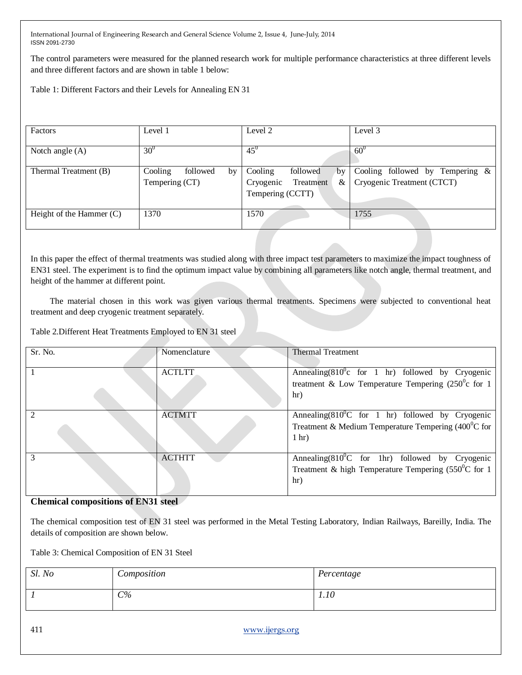The control parameters were measured for the planned research work for multiple performance characteristics at three different levels and three different factors and are shown in table 1 below:

Table 1: Different Factors and their Levels for Annealing EN 31

| Factors                    | Level 1                                     | Level 2                                                                      | Level 3                                                          |
|----------------------------|---------------------------------------------|------------------------------------------------------------------------------|------------------------------------------------------------------|
| Notch angle (A)            | $30^0$                                      | $45^{0}$                                                                     | $60^\circ$                                                       |
| Thermal Treatment (B)      | Cooling<br>followed<br>by<br>Tempering (CT) | Cooling<br>followed<br>by<br>Treatment<br>&<br>Cryogenic<br>Tempering (CCTT) | Cooling followed by Tempering $\&$<br>Cryogenic Treatment (CTCT) |
| Height of the Hammer $(C)$ | 1370                                        | 1570                                                                         | 1755                                                             |

In this paper the effect of thermal treatments was studied along with three impact test parameters to maximize the impact toughness of EN31 steel. The experiment is to find the optimum impact value by combining all parameters like notch angle, thermal treatment, and height of the hammer at different point.

 The material chosen in this work was given various thermal treatments. Specimens were subjected to conventional heat treatment and deep cryogenic treatment separately.

Table 2.Different Heat Treatments Employed to EN 31 steel

| Sr. No. | Nomenclature  | <b>Thermal Treatment</b>                                      |
|---------|---------------|---------------------------------------------------------------|
|         |               |                                                               |
|         |               |                                                               |
|         | <b>ACTLTT</b> | Annealing $(810^0c$ for 1 hr) followed by Cryogenic           |
|         |               |                                                               |
|         |               | treatment & Low Temperature Tempering $(250^{\circ}c$ for 1   |
|         |               | hr)                                                           |
|         |               |                                                               |
|         |               |                                                               |
|         | <b>ACTMTT</b> | Annealing $(810^0C$ for 1 hr) followed by Cryogenic           |
|         |               |                                                               |
|         |               | Treatment & Medium Temperature Tempering $(400^{\circ}$ C for |
|         |               | 1 <sub>hr</sub>                                               |
|         |               |                                                               |
|         |               |                                                               |
|         | <b>ACTHTT</b> | Annealing $(810^0C$ for 1hr) followed by Cryogenic            |
|         |               |                                                               |
|         |               | Treatment & high Temperature Tempering $(550^0C)$ for 1       |
|         |               | hr)                                                           |
|         |               |                                                               |
|         |               |                                                               |

#### **Chemical compositions of EN31 steel**

The chemical composition test of EN 31 steel was performed in the Metal Testing Laboratory, Indian Railways, Bareilly, India. The details of composition are shown below.

Table 3: Chemical Composition of EN 31 Steel

| Sl. No | Composition | Percentage |
|--------|-------------|------------|
|        | $C\%$       | 1.10       |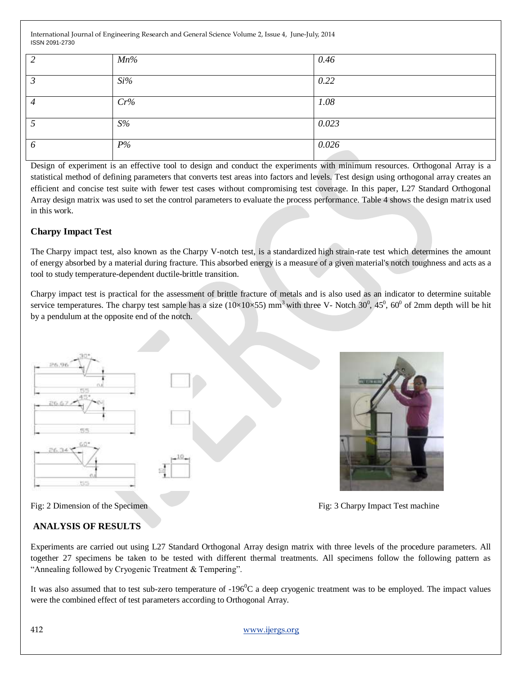|   | $Mn\%$ | 0.46  |
|---|--------|-------|
|   |        |       |
|   |        |       |
|   | $Si\%$ | 0.22  |
|   |        |       |
|   |        |       |
| ┑ | Cr%    | 1.08  |
|   |        |       |
|   |        |       |
|   | S%     | 0.023 |
|   |        |       |
|   |        |       |
| O | $P\%$  | 0.026 |
|   |        |       |

Design of experiment is an effective tool to design and conduct the experiments with minimum resources. Orthogonal Array is a statistical method of defining parameters that converts test areas into factors and levels. Test design using orthogonal array creates an efficient and concise test suite with fewer test cases without compromising test coverage. In this paper, L27 Standard Orthogonal Array design matrix was used to set the control parameters to evaluate the process performance. Table 4 shows the design matrix used in this work.

#### **Charpy Impact Test**

The Charpy impact test, also known as the Charpy V-notch test, is a [standardized](http://en.wiktionary.org/wiki/standardized) high [strain-](http://en.wikipedia.org/wiki/Strain_(materials_science))rate test which determines the amount of [energy](http://en.wikipedia.org/wiki/Energy) absorbed by a material during [fracture.](http://en.wikipedia.org/wiki/Fracture) This absorbed energy is a measure of a given material's notch [toughness](http://en.wikipedia.org/wiki/Toughness) and acts as a tool to study temperature-dependent ductile-brittle transition.

Charpy impact test is practical for the assessment of brittle fracture of metals and is also used as an indicator to determine suitable service temperatures. The charpy test sample has a size  $(10\times10\times55)$  mm<sup>3</sup> with three V- Notch 30<sup>0</sup>, 45<sup>0</sup>, 60<sup>0</sup> of 2mm depth will be hit by a pendulum at the opposite end of the notch.





Fig: 2 Dimension of the SpecimenFig: 3 Charpy Impact Test machine

#### **ANALYSIS OF RESULTS**

Experiments are carried out using L27 Standard Orthogonal Array design matrix with three levels of the procedure parameters. All together 27 specimens be taken to be tested with different thermal treatments. All specimens follow the following pattern as "Annealing followed by Cryogenic Treatment & Tempering".

It was also assumed that to test sub-zero temperature of  $-196^{\circ}$ C a deep cryogenic treatment was to be employed. The impact values were the combined effect of test parameters according to Orthogonal Array.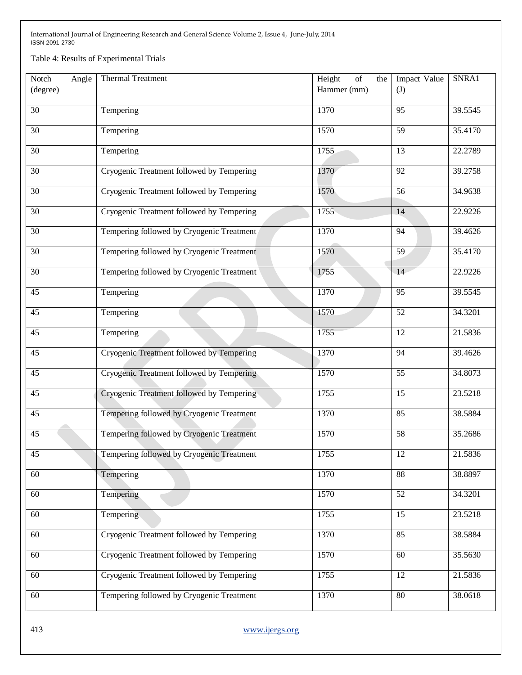Table 4: Results of Experimental Trials

| Notch<br>Angle  | Thermal Treatment                         | Height<br>of<br>the | Impact Value    | SNRA1   |
|-----------------|-------------------------------------------|---------------------|-----------------|---------|
| (degree)        |                                           | Hammer (mm)         | (J)             |         |
|                 |                                           |                     |                 |         |
| $\overline{30}$ | Tempering                                 | 1370                | 95              | 39.5545 |
| 30              | Tempering                                 | 1570                | $\overline{59}$ | 35.4170 |
|                 |                                           |                     |                 |         |
| $\overline{30}$ | Tempering                                 | 1755                | 13              | 22.2789 |
| $\overline{30}$ | Cryogenic Treatment followed by Tempering | 1370                | $\overline{92}$ | 39.2758 |
| $\overline{30}$ | Cryogenic Treatment followed by Tempering | 1570                | $\overline{56}$ | 34.9638 |
| 30              | Cryogenic Treatment followed by Tempering | 1755                | 14              | 22.9226 |
| $\overline{30}$ | Tempering followed by Cryogenic Treatment | 1370                | 94              | 39.4626 |
| $\overline{30}$ | Tempering followed by Cryogenic Treatment | 1570                | 59              | 35.4170 |
| 30              | Tempering followed by Cryogenic Treatment | 1755                | 14              | 22.9226 |
| $\overline{45}$ | Tempering                                 | 1370                | $\overline{95}$ | 39.5545 |
| 45              | Tempering                                 | 1570                | 52              | 34.3201 |
| $\overline{45}$ | Tempering                                 | 1755                | $\overline{12}$ | 21.5836 |
| 45              | Cryogenic Treatment followed by Tempering | 1370                | 94              | 39.4626 |
| $\overline{45}$ | Cryogenic Treatment followed by Tempering | 1570                | $\overline{55}$ | 34.8073 |
| $\overline{45}$ | Cryogenic Treatment followed by Tempering | 1755                | 15              | 23.5218 |
| 45              | Tempering followed by Cryogenic Treatment | 1370                | 85              | 38.5884 |
| $\overline{45}$ | Tempering followed by Cryogenic Treatment | 1570                | 58              | 35.2686 |
| 45              | Tempering followed by Cryogenic Treatment | 1755                | 12              | 21.5836 |
| 60              | Tempering                                 | 1370                | $\overline{88}$ | 38.8897 |
| 60              | Tempering                                 | 1570                | 52              | 34.3201 |
| 60              | Tempering                                 | 1755                | 15              | 23.5218 |
| 60              | Cryogenic Treatment followed by Tempering | 1370                | 85              | 38.5884 |
| 60              | Cryogenic Treatment followed by Tempering | 1570                | 60              | 35.5630 |
| 60              | Cryogenic Treatment followed by Tempering | 1755                | 12              | 21.5836 |
| 60              | Tempering followed by Cryogenic Treatment | 1370                | 80              | 38.0618 |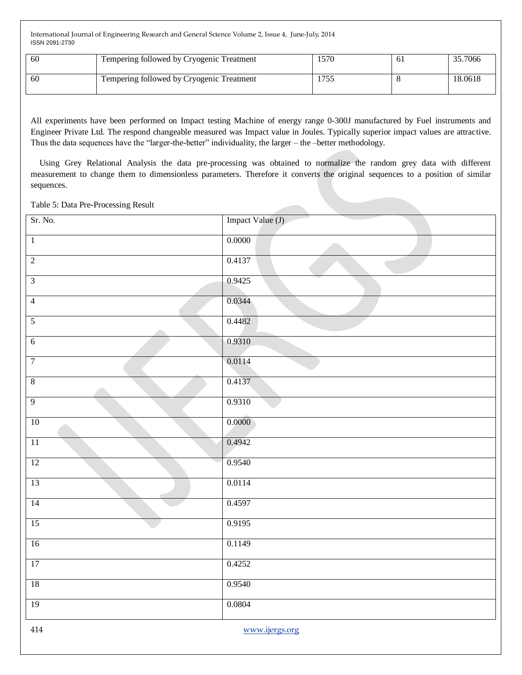| 60 | Tempering followed by Cryogenic Treatment | 1570          | -61 | 35.7066 |
|----|-------------------------------------------|---------------|-----|---------|
| 60 | Tempering followed by Cryogenic Treatment | 755<br>. I J. |     | 18.0618 |

All experiments have been performed on Impact testing Machine of energy range 0-300J manufactured by Fuel instruments and Engineer Private Ltd. The respond changeable measured was Impact value in Joules. Typically superior impact values are attractive. Thus the data sequences have the "larger-the-better" individuality, the larger – the –better methodology.

 Using Grey Relational Analysis the data pre-processing was obtained to normalize the random grey data with different measurement to change them to dimensionless parameters. Therefore it converts the original sequences to a position of similar sequences.

#### Table 5: Data Pre-Processing Result

| Sr. No.         | Impact Value (J) |
|-----------------|------------------|
| $\overline{1}$  | 0.0000           |
| $\overline{2}$  | 0.4137           |
| $\overline{3}$  | 0.9425           |
| $\overline{4}$  | 0.0344           |
| 5               | 0.4482           |
| $\overline{6}$  | 0.9310           |
| $\overline{7}$  | 0.0114           |
| $8\,$           | 0.4137           |
| $\overline{9}$  | 0.9310           |
| 10              | 0.0000           |
| $\overline{11}$ | 0.4942           |
| 12              | 0.9540           |
| 13              | 0.0114           |
| 14              | 0.4597           |
| 15              | 0.9195           |
| 16              | 0.1149           |
| 17              | 0.4252           |
| $18\,$          | 0.9540           |
| 19              | 0.0804           |
| $414\,$         | www.ijergs.org   |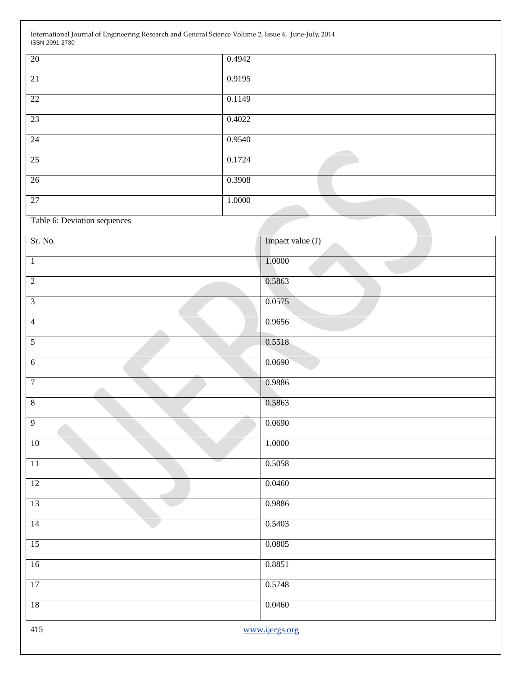| 20 | 0.4942 |
|----|--------|
| 21 | 0.9195 |
| 22 | 0.1149 |
| 23 | 0.4022 |
| 24 | 0.9540 |
| 25 | 0.1724 |
| 26 | 0.3908 |
|    |        |
| 27 | 1.0000 |

Table 6: Deviation sequences

| Sr. No.               | Impact value (J) |
|-----------------------|------------------|
| $\overline{1}$        | 1.0000           |
| $\overline{2}$        | 0.5863           |
| $\overline{3}$        | 0.0575           |
| $\overline{4}$<br>a n | 0.9656           |
| $\overline{5}$        | 0.5518           |
| $\overline{6}$        | 0.0690           |
| $\overline{7}$        | 0.9886           |
| $\overline{8}$        | 0.5863           |
| $\overline{9}$        | 0.0690           |
| $10$                  | 1.0000           |
| 11                    | 0.5058           |
| 12                    | 0.0460           |
| 13                    | 0.9886           |
| 14                    | 0.5403           |
| 15                    | 0.0805           |
| 16                    | 0.8851           |
| 17                    | 0.5748           |
| $\overline{18}$       | 0.0460           |
| 415                   | www.ijergs.org   |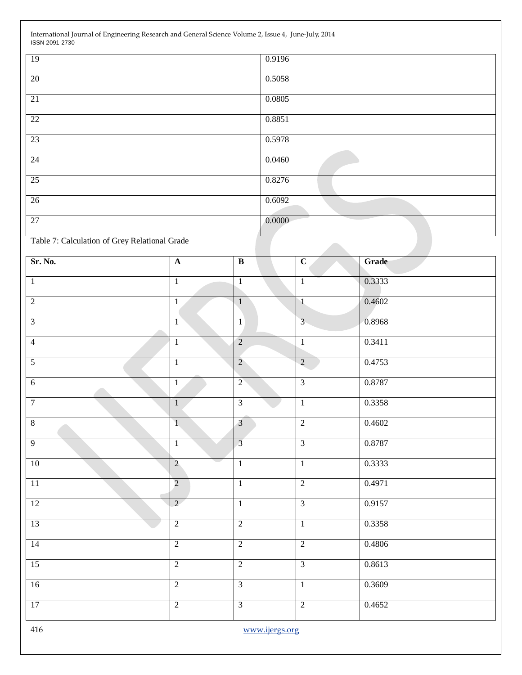| 19 | 0.9196 |
|----|--------|
| 20 | 0.5058 |
| 21 | 0.0805 |
| 22 | 0.8851 |
| 23 | 0.5978 |
| 24 | 0.0460 |
| 25 | 0.8276 |
| 26 | 0.6092 |
| 27 | 0.0000 |

Table 7: Calculation of Grey Relational Grade

| Sr. No.         | $\overline{\mathbf{A}}$ | $\overline{\mathbf{B}}$ | $\overline{c}$ | Grade  |
|-----------------|-------------------------|-------------------------|----------------|--------|
| $\mathbf{1}$    | $\overline{1}$          | $\mathbf{1}$            | $\mathbf{1}$   | 0.3333 |
| $\overline{2}$  | $\,1$                   | $\mathbf{1}$            | $\mathbf{1}$   | 0.4602 |
| $\overline{3}$  | $\overline{1}$          | $\overline{1}$          | $\overline{3}$ | 0.8968 |
| $\overline{4}$  | $\overline{1}$          | $\overline{2}$          | $\mathbf{1}$   | 0.3411 |
| $\overline{5}$  | $\overline{1}$          | $\overline{2}$          | $\overline{2}$ | 0.4753 |
| $6\overline{6}$ | $\overline{1}$          | $\overline{2}$          | $\overline{3}$ | 0.8787 |
| $\overline{7}$  | $\overline{1}$          | $\overline{3}$          | $\overline{1}$ | 0.3358 |
| $\overline{8}$  | $\overline{1}$          | $\overline{3}$          | $\overline{2}$ | 0.4602 |
| $\overline{9}$  | $\,1\,$                 | $\overline{3}$          | $\overline{3}$ | 0.8787 |
| 10              | $\overline{2}$          | o a<br>$\overline{1}$   | $\overline{1}$ | 0.3333 |
| 11              | $\overline{2}$          | $\mathbf{1}$            | $\overline{2}$ | 0.4971 |
| 12              | $\overline{2}$          | $\overline{1}$          | $\overline{3}$ | 0.9157 |
| 13              | $\overline{2}$          | $\overline{2}$          | $\overline{1}$ | 0.3358 |
| 14              | $\overline{2}$          | $\overline{2}$          | $\overline{2}$ | 0.4806 |
| 15              | $\overline{2}$          | $\overline{2}$          | $\overline{3}$ | 0.8613 |
| 16              | $\overline{2}$          | $\overline{3}$          | $\overline{1}$ | 0.3609 |
| 17              | $\overline{2}$          | $\overline{3}$          | $\overline{2}$ | 0.4652 |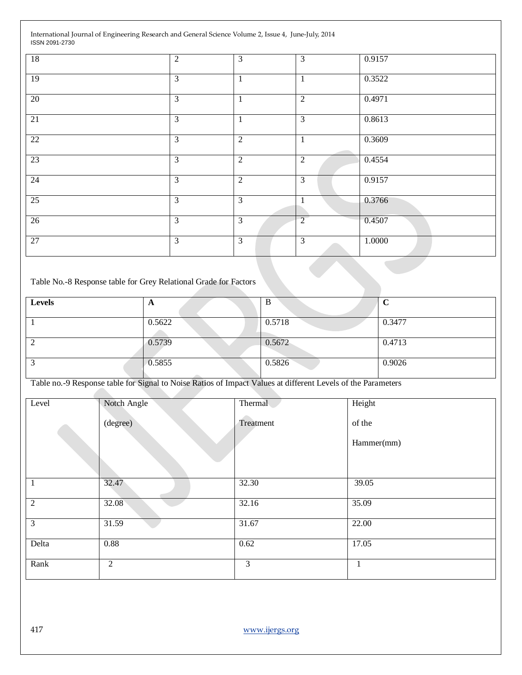| 18              | $\overline{2}$ | 3              | $\overline{3}$ | 0.9157 |  |
|-----------------|----------------|----------------|----------------|--------|--|
| 19              | $\overline{3}$ | $\mathbf{1}$   | $\mathbf{1}$   | 0.3522 |  |
| 20              | $\overline{3}$ | $\mathbf{1}$   | $\overline{2}$ | 0.4971 |  |
| $\overline{21}$ | $\overline{3}$ | $\mathbf{1}$   | $\overline{3}$ | 0.8613 |  |
| $\overline{22}$ | $\overline{3}$ | $\overline{2}$ | $\mathbf{1}$   | 0.3609 |  |
| 23              | $\mathfrak{Z}$ | $\overline{2}$ | 2              | 0.4554 |  |
| $\overline{24}$ | $\overline{3}$ | $\overline{2}$ | $\overline{3}$ | 0.9157 |  |
| $\overline{25}$ | $\overline{3}$ | 3              | $\mathbf{1}$   | 0.3766 |  |
| 26              | 3              | 3              | $\overline{2}$ | 0.4507 |  |
| 27              | $\overline{3}$ | $\overline{3}$ | $\overline{3}$ | 1.0000 |  |
|                 |                |                |                |        |  |

#### Table No.-8 Response table for Grey Relational Grade for Factors

| Levels | $\mathbf{r}$ | B      | ◡      |
|--------|--------------|--------|--------|
|        | 0.5622       | 0.5718 | 0.3477 |
|        | 0.5739       | 0.5672 | 0.4713 |
|        | 0.5855       | 0.5826 | 0.9026 |

Table no.-9 Response table for Signal to Noise Ratios of Impact Values at different Levels of the Parameters

| Level          | Notch Angle    | Thermal        | Height     |
|----------------|----------------|----------------|------------|
|                | (degree)       | Treatment      | of the     |
|                |                |                | Hammer(mm) |
|                |                |                |            |
| $\mathbf{1}$   | 32.47          | 32.30          | 39.05      |
| $\overline{2}$ | 32.08          | 32.16          | 35.09      |
| $\mathfrak{Z}$ | 31.59          | 31.67          | 22.00      |
| Delta          | 0.88           | 0.62           | 17.05      |
| Rank           | $\overline{2}$ | $\overline{3}$ | 1          |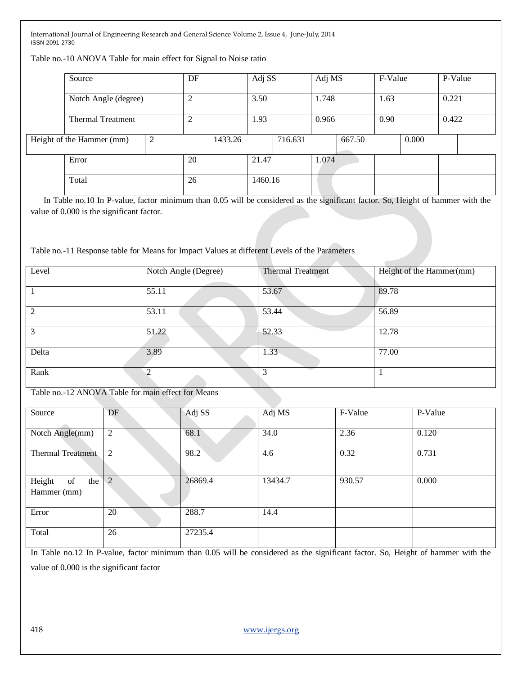Table no.-10 ANOVA Table for main effect for Signal to Noise ratio

| Source                    |  | DF |         | Adj SS  |         | Adj MS |        | F-Value |       | P-Value |  |
|---------------------------|--|----|---------|---------|---------|--------|--------|---------|-------|---------|--|
| Notch Angle (degree)      |  |    |         | 3.50    |         | 1.748  |        | 1.63    |       | 0.221   |  |
| <b>Thermal Treatment</b>  |  |    |         | 1.93    |         | 0.966  |        | 0.90    |       | 0.422   |  |
| Height of the Hammer (mm) |  |    | 1433.26 |         | 716.631 |        | 667.50 |         | 0.000 |         |  |
| Error                     |  | 20 |         | 21.47   |         | 1.074  |        |         |       |         |  |
| Total                     |  | 26 |         | 1460.16 |         |        |        |         |       |         |  |

In Table no.10 In P-value, factor minimum than 0.05 will be considered as the significant factor. So, Height of hammer with the value of 0.000 is the significant factor.

Table no.-11 Response table for Means for Impact Values at different Levels of the Parameters

| Level | Notch Angle (Degree) | <b>Thermal Treatment</b> | Height of the Hammer(mm) |  |  |
|-------|----------------------|--------------------------|--------------------------|--|--|
|       | 55.11                | 53.67                    | 89.78                    |  |  |
| 2     | 53.11                | 53.44                    | 56.89                    |  |  |
|       | 51.22                | 52.33                    | 12.78                    |  |  |
| Delta | 3.89                 | 1.33                     | 77.00                    |  |  |
| Rank  | ◠                    | $\mathcal{R}$            |                          |  |  |

Table no.-12 ANOVA Table for main effect for Means

| Source                             | DF             | Adj SS  | Adj MS  | F-Value | P-Value |
|------------------------------------|----------------|---------|---------|---------|---------|
| Notch Angle(mm)                    | 2              | 68.1    | 34.0    | 2.36    | 0.120   |
| <b>Thermal Treatment</b>           | $\overline{2}$ | 98.2    | 4.6     | 0.32    | 0.731   |
| Height<br>of<br>the<br>Hammer (mm) | $\overline{2}$ | 26869.4 | 13434.7 | 930.57  | 0.000   |
| Error                              | 20             | 288.7   | 14.4    |         |         |
| Total                              | 26             | 27235.4 |         |         |         |

In Table no.12 In P-value, factor minimum than 0.05 will be considered as the significant factor. So, Height of hammer with the value of 0.000 is the significant factor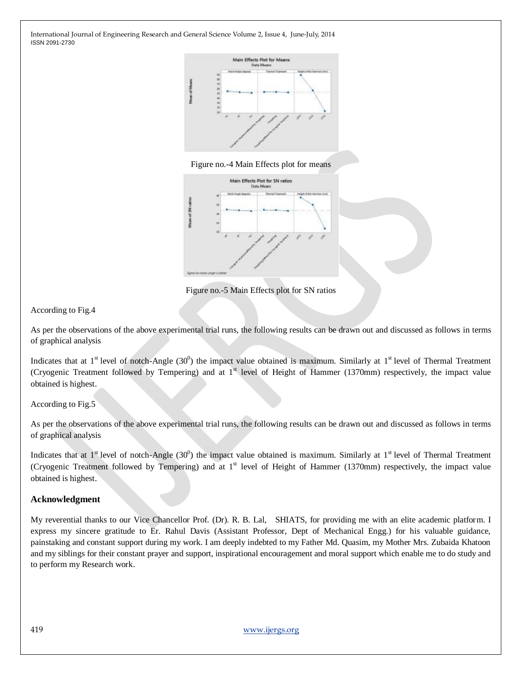





Figure no.-5 Main Effects plot for SN ratios

According to Fig.4

As per the observations of the above experimental trial runs, the following results can be drawn out and discussed as follows in terms of graphical analysis

Indicates that at  $1^{\text{st}}$  level of notch-Angle (30<sup>0</sup>) the impact value obtained is maximum. Similarly at  $1^{\text{st}}$  level of Thermal Treatment (Cryogenic Treatment followed by Tempering) and at  $1<sup>st</sup>$  level of Height of Hammer (1370mm) respectively, the impact value obtained is highest.

According to Fig.5

As per the observations of the above experimental trial runs, the following results can be drawn out and discussed as follows in terms of graphical analysis

Indicates that at  $1^{\text{st}}$  level of notch-Angle (30<sup>0</sup>) the impact value obtained is maximum. Similarly at  $1^{\text{st}}$  level of Thermal Treatment (Cryogenic Treatment followed by Tempering) and at  $1<sup>st</sup>$  level of Height of Hammer (1370mm) respectively, the impact value obtained is highest.

#### **Acknowledgment**

My reverential thanks to our Vice Chancellor Prof. (Dr). R. B. Lal, SHIATS, for providing me with an elite academic platform. I express my sincere gratitude to Er. Rahul Davis (Assistant Professor, Dept of Mechanical Engg.) for his valuable guidance, painstaking and constant support during my work. I am deeply indebted to my Father Md. Quasim, my Mother Mrs. Zubaida Khatoon and my siblings for their constant prayer and support, inspirational encouragement and moral support which enable me to do study and to perform my Research work.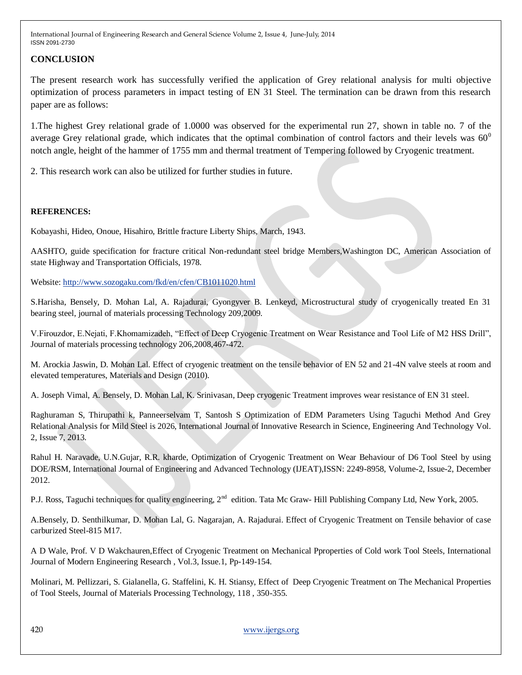### **CONCLUSION**

The present research work has successfully verified the application of Grey relational analysis for multi objective optimization of process parameters in impact testing of EN 31 Steel. The termination can be drawn from this research paper are as follows:

1.The highest Grey relational grade of 1.0000 was observed for the experimental run 27, shown in table no. 7 of the average Grey relational grade, which indicates that the optimal combination of control factors and their levels was  $60^{\circ}$ notch angle, height of the hammer of 1755 mm and thermal treatment of Tempering followed by Cryogenic treatment.

2. This research work can also be utilized for further studies in future.

#### **REFERENCES:**

Kobayashi, Hideo, Onoue, Hisahiro, Brittle fracture Liberty Ships, March, 1943.

AASHTO, guide specification for fracture critical Non-redundant steel bridge Members,Washington DC, American Association of state Highway and Transportation Officials, 1978.

Website:<http://www.sozogaku.com/fkd/en/cfen/CB1011020.html>

S.Harisha, Bensely, D. Mohan Lal, A. Rajadurai, Gyongyver B. Lenkeyd, Microstructural study of cryogenically treated En 31 bearing steel, journal of materials processing Technology 209,2009.

V.Firouzdor, E.Nejati, F.Khomamizadeh, "Effect of Deep Cryogenic Treatment on Wear Resistance and Tool Life of M2 HSS Drill", Journal of materials processing technology 206,2008,467-472.

M. Arockia Jaswin, D. Mohan Lal. Effect of cryogenic treatment on the tensile behavior of EN 52 and 21-4N valve steels at room and elevated temperatures, Materials and Design (2010).

A. Joseph Vimal, A. Bensely, D. Mohan Lal, K. Srinivasan, Deep cryogenic Treatment improves wear resistance of EN 31 steel.

Raghuraman S, Thirupathi k, Panneerselvam T, Santosh S Optimization of EDM Parameters Using Taguchi Method And Grey Relational Analysis for Mild Steel is 2026, International Journal of Innovative Research in Science, Engineering And Technology Vol. 2, Issue 7, 2013.

Rahul H. Naravade, U.N.Gujar, R.R. kharde, Optimization of Cryogenic Treatment on Wear Behaviour of D6 Tool Steel by using DOE/RSM, International Journal of Engineering and Advanced Technology (IJEAT),ISSN: 2249-8958, Volume-2, Issue-2, December 2012.

P.J. Ross, Taguchi techniques for quality engineering, 2<sup>nd</sup> edition. Tata Mc Graw- Hill Publishing Company Ltd, New York, 2005.

A.Bensely, D. Senthilkumar, D. Mohan Lal, G. Nagarajan, A. Rajadurai. Effect of Cryogenic Treatment on Tensile behavior of case carburized Steel-815 M17.

A D Wale, Prof. V D Wakchauren,Effect of Cryogenic Treatment on Mechanical Pproperties of Cold work Tool Steels, International Journal of Modern Engineering Research , Vol.3, Issue.1, Pp-149-154.

Molinari, M. Pellizzari, S. Gialanella, G. Staffelini, K. H. Stiansy, Effect of Deep Cryogenic Treatment on The Mechanical Properties of Tool Steels, Journal of Materials Processing Technology, 118 , 350-355.